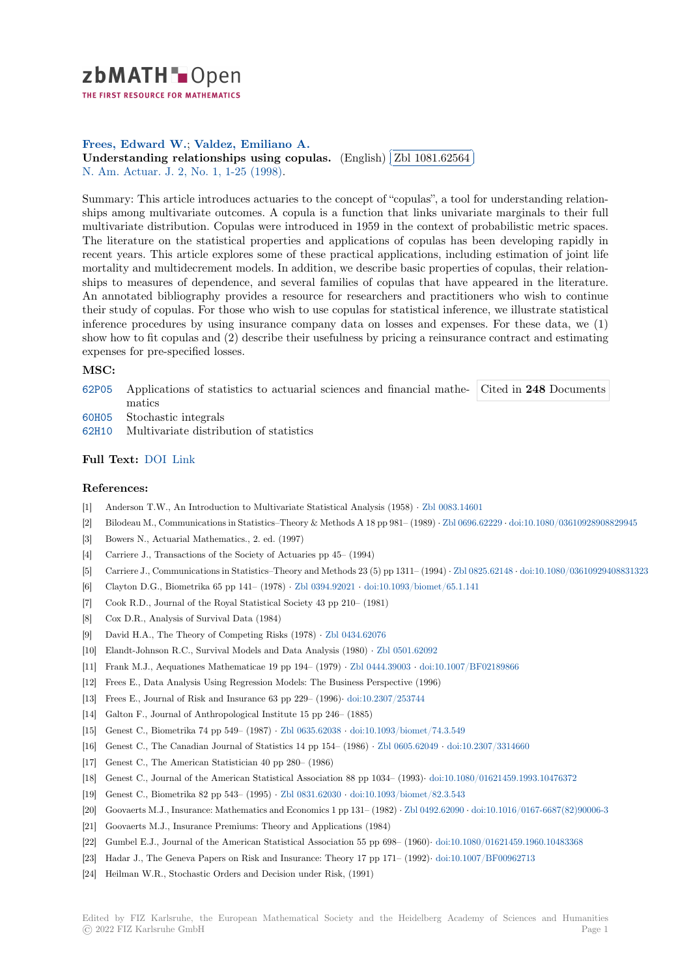

THE FIRST RESOURCE FOR MATHEMATICS

## **Frees, Edward W.**; **Valdez, Emiliano A.**

**Trees, Edward W.; Valdez, Emmano A.**<br>**[U](https://zbmath.org/)nderstanding relationships using copulas.** (English) ✂ Zbl 1081.62564 N. Am. Actuar. J. 2, No. 1, 1-25 (1998).

[Summary: This articl](https://zbmath.org/authors/?q=ai:frees.edward-w)[e introduces actuaries to](https://zbmath.org/authors/?q=ai:valdez.emiliano-a) the concept of "copulas", a tool for understanding relation[ships among multivariate outcomes. A copula is a](https://zbmath.org/1081.62564) function [that links univaria](https://zbmath.org/1081.62564)te marginals to their full [multivariate distri](https://zbmath.org/journals/?q=se:3081)[bution. Copulas were](https://zbmath.org/?q=in:122453) introduced in 1959 in the context of probabilistic metric spaces. The literature on the statistical properties and applications of copulas has been developing rapidly in recent years. This article explores some of these practical applications, including estimation of joint life mortality and multidecrement models. In addition, we describe basic properties of copulas, their relationships to measures of dependence, and several families of copulas that have appeared in the literature. An annotated bibliography provides a resource for researchers and practitioners who wish to continue their study of copulas. For those who wish to use copulas for statistical inference, we illustrate statistical inference procedures by using insurance company data on losses and expenses. For these data, we (1) show how to fit copulas and (2) describe their usefulness by pricing a reinsurance contract and estimating expenses for pre-specified losses.

ĺ. Į.

## **MSC:**

- 62P05 Applications of statistics to actuarial sciences and financial mathematics Cited in **248** Documents
- 60H05 Stochastic integrals
- 62H10 Multivariate distribution of statistics

## **[Full T](https://zbmath.org/classification/?q=cc:62P05)ext:** DOI Link

## **[Refer](https://zbmath.org/classification/?q=cc:62H10)ences:**

- [1] Anderson T.W., An Introduction to Multivariate Statistical Analysis (1958) *·* Zbl 0083.14601
- [2] Bilodeau [M., Co](https://dx.doi.org/10.1080/10920277.1998.10595667)[mmun](http://citeseerx.ist.psu.edu/viewdoc/summary?doi=10.1.1.118.4607)ications in Statistics–Theory & Methods A 18 pp 981– (1989) *·* Zbl 0696.62229 *·* doi:10.1080/03610928908829945
- [3] Bowers N., Actuarial Mathematics., 2. ed. (1997)
- [4] Carriere J., Transactions of the Society of Actuaries pp 45– (1994)
- [5] Carriere J., Communications in Statistics–Theory and Methods 23 (5) pp 1311– (1994) *·* [Zbl 082](https://zbmath.org/0083.14601)5.62148 *·* [doi:10.1080/036109294088313](https://dx.doi.org/10.1080/03610928908829945)23
- [6] Clayton D.G., Biometrika 65 pp 141– (1978) *·* Zbl 0394.92021 *·* doi:10.1093/biomet[/65.1.141](https://zbmath.org/0696.62229)
- [7] Cook R.D., Journal of the Royal Statistical Society 43 pp 210– (1981)
- [8] Cox D.R., Analysis of Survival Data (1984)
- [9] David H.A., The Theory of Competing Risks (1978) *·* Zbl 0434.62076
- [10] Elandt-Johnson R.C., Survival Models and Da[ta Analysis \(198](https://zbmath.org/0394.92021)0) *·* [Zbl 0501.62092](https://dx.doi.org/10.1093/biomet/65.1.141)
- [11] Frank M.J., Aequationes Mathematicae 19 pp 194– (1979) *·* Zbl 0444.39003 *·* doi:10.1007/BF02189866
- [12] Frees E., Data Analysis Using Regression Models: The Business Perspective (1996)
- [13] Frees E., Journal of Risk and Insurance 63 pp 229– (1996)*·* [doi:10.230](https://zbmath.org/0434.62076)[7/253744](https://zbmath.org/0501.62092)
- [14] Galton F., Journal of Anthropological Institute 15 pp 246– (1885)
- [15] Genest C., Biometrika 74 pp 549– (1987) *·* Zbl 0635.62038 *·* [doi:10.1093/bio](https://zbmath.org/0444.39003)m[et/74.3.549](https://dx.doi.org/10.1007/BF02189866)
- [16] Genest C., The Canadian Journal of Statistics 14 pp 154– (1986) *·* [Zbl 0605.620](https://dx.doi.org/10.2307/253744)49 *·* doi:10.2307/3314660
- [17] Genest C., The American Statistician 40 pp 280– (1986)
- [18] Genest C., Journal of the American Statistical Association 88 pp 1034– (1993)*·* doi:10.1080/01621459.1993.10476372
- [19] Genest C., Biometrika 82 pp 543– (1995) *·* [Zbl 0831.62030](https://zbmath.org/0635.62038) *·* [doi:10.1093/biomet/82.3.543](https://dx.doi.org/10.1093/biomet/74.3.549)
- [20] Goovaerts M.J., Insurance: Mathematics and Economics 1 pp 131– (1982) *·* [Zbl 0492.](https://zbmath.org/0605.62049)62090 *·* [doi:10.1016/01](https://dx.doi.org/10.2307/3314660)67-6687(82)90006-3
- [21] Goovaerts M.J., Insurance Premiums: Theory and Applications (1984)
- [22] Gumbel E.J., Journal of the American Statistical Association 55 pp 698– (1960)*·* [doi:10.1080/01621459.1960.1048336](https://dx.doi.org/10.1080/01621459.1993.10476372)8
- [23] Hadar J., The Geneva Papers on Risk and [Insurance: Theo](https://zbmath.org/0831.62030)r[y 17 pp 171– \(1992\)](https://dx.doi.org/10.1093/biomet/82.3.543)*·* [doi:10.1](https://zbmath.org/0492.62090)[007/BF00962713](https://dx.doi.org/10.1016/0167-6687(82)90006-3)
- [24] Heilman W.R., Stochastic Orders and Decision under Risk, (1991)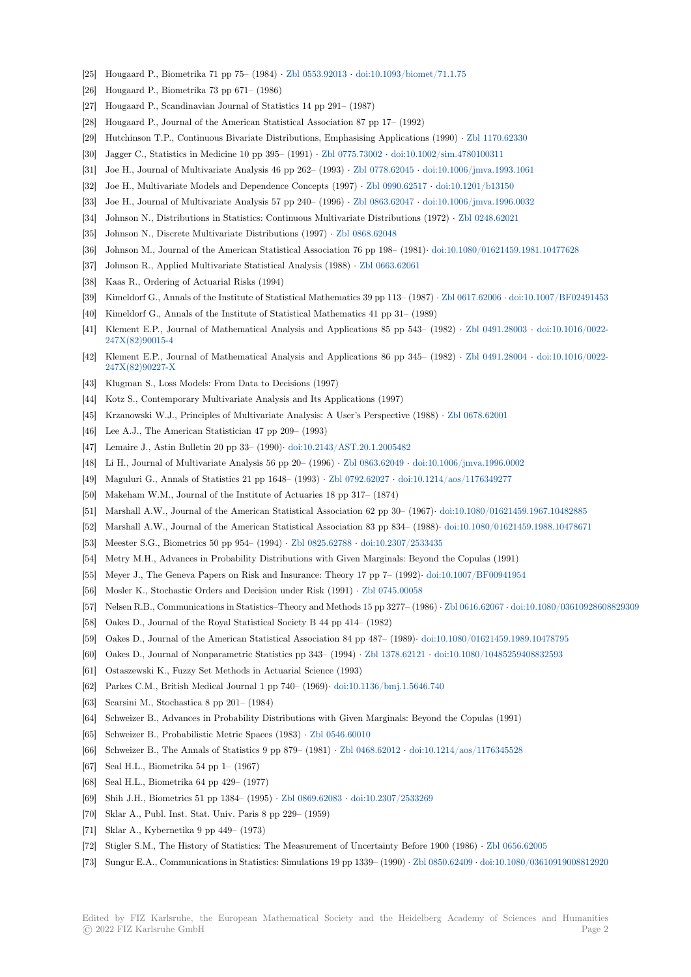- [25] Hougaard P., Biometrika 71 pp 75– (1984) *·* Zbl 0553.92013 *·* doi:10.1093/biomet/71.1.75
- [26] Hougaard P., Biometrika 73 pp 671– (1986)
- [27] Hougaard P., Scandinavian Journal of Statistics 14 pp 291– (1987)
- [28] Hougaard P., Journal of the American Statistical Association 87 pp 17– (1992)
- [29] Hutchinson T.P., Continuous Bivariate Distr[ibutions, Emph](https://zbmath.org/0553.92013)a[sising Applications \(1990\)](https://dx.doi.org/10.1093/biomet/71.1.75) *·* Zbl 1170.62330
- [30] Jagger C., Statistics in Medicine 10 pp 395– (1991) *·* Zbl 0775.73002 *·* doi:10.1002/sim.4780100311
- [31] Joe H., Journal of Multivariate Analysis 46 pp 262– (1993) *·* Zbl 0778.62045 *·* doi:10.1006/jmva.1993.1061
- [32] Joe H., Multivariate Models and Dependence Concepts (1997) *·* Zbl 0990.62517 *·* doi:10.1201/b13150
- [33] Joe H., Journal of Multivariate Analysis 57 pp 240– (1996) *·* Zbl 0863.62047 *·* doi:10.100[6/jmva.1996.003](https://zbmath.org/1170.62330)2
- [34] Johnson N., Distributions in Statistics: Continuous [Multivariate Dist](https://zbmath.org/0775.73002)ri[butions \(1972\)](https://dx.doi.org/10.1002/sim.4780100311) *[·](https://dx.doi.org/10.1006/jmva.1993.1061)* Zbl 0248.62021
- [35] Johnson N., Discrete Multivariate Distributions (1997) *·* Zbl [0868.62048](https://zbmath.org/0778.62045)
- [36] Johnson M., Journal of the American Statistical Association 76 [pp 198– \(1981\)](https://zbmath.org/0990.62517)*·* [d](https://dx.doi.org/10.1006/jmva.1996.0032)[oi:10.1080/0162145](https://dx.doi.org/10.1201/b13150)[9.198](https://dx.doi.org/10.1006/jmva.1996.0032)1.10477628
- [37] Johnson R., Applied Multivariate Statistical Analysis (1988) *·* [Zbl 0663.6206](https://zbmath.org/0863.62047)1
- [38] Kaas R., Ordering of Actuarial Risks (1994)
- [39] Kimeldorf G., Annals of the Institute of Statistical Mathe[matics 39 pp 113](https://zbmath.org/0868.62048) (1987) *·* Zbl 0617.62006 *·* doi:10.1007/BF02491453
- [40] Kimeldorf G., Annals of the Institute of Statistical Mathematics 41 pp 31– (198[9\)](https://dx.doi.org/10.1080/01621459.1981.10477628)
- [41] Klement E.P., Journal of Mathematical Analysis and Applica[tions 85 pp 543](https://zbmath.org/0663.62061) (1982) *·* Zbl 0491.28003 *·* doi:10.1016/0022- 247X(82)90015-4
- [42] Klement E.P., Journal of Mathematical Analysis and Applications 86 pp 345– (1982) *·* [Zbl 0491](https://zbmath.org/0617.62006).28004 *·* [doi:10.1016/0022-](https://dx.doi.org/10.1007/BF02491453) 247X(82)90227-X
- [43] Klugman S., Loss Models: From Data to Decisions (1997)
- [44] [Kotz S., Contemp](https://dx.doi.org/10.1016/0022-247X(82)90015-4)orary Multivariate Analysis and Its Applications (1997)
- [45] Krzanowski W.J., Principles of Multivariate Analysis: A User's Perspective (1988) *·* Zbl [0678.62001](https://zbmath.org/0491.28004)
- [46] [Lee A.J., The Am](https://dx.doi.org/10.1016/0022-247X(82)90227-X)erican Statistician 47 pp 209– (1993)
- [47] Lemaire J., Astin Bulletin 20 pp 33– (1990)*·* doi:10.2143/AST.20.1.2005482
- [48] Li H., Journal of Multivariate Analysis 56 pp 20– (1996) *·* Zbl 0863.62049 *·* doi:10.1006/jmva.1996.0002
- [49] Maguluri G., Annals of Statistics 21 pp 1648– (1993) *·* Zbl 0792.62027 *·* doi:10.1214[/aos/1176349277](https://zbmath.org/0678.62001)
- [50] Makeham W.M., Journal of the Institute of Actuaries 18 pp 317– (1874)
- [51] Marshall A.W., Journal of the American Sta[tistical Association 62 pp 30– \(](https://dx.doi.org/10.2143/AST.20.1.2005482)1967)*·* doi:10.1080/01621459.1967.10482885
- [52] Marshall A.W., Journal of the American Statistical Associ[ation 83 pp 834](https://zbmath.org/0863.62049) (1988)*·* [doi:10.1080/0162145](https://dx.doi.org/10.1006/jmva.1996.0002)9.1988.10478671
- [53] Meester S.G., Biometrics 50 pp 954– (1994) *·* Zbl 0825.62788 *·* [doi:10.2](https://zbmath.org/0792.62027)3[07/2533435](https://dx.doi.org/10.1214/aos/1176349277)
- [54] Metry M.H., Advances in Probability Distributions with Given Marginals: Beyond the Copulas (1991)
- [55] Meyer J., The Geneva Papers on Risk and Insurance: Theory 17 pp 7– (1992)*·* doi[:10.1007/BF00941954](https://dx.doi.org/10.1080/01621459.1967.10482885)
- [56] Mosler K., Stochastic Orders and Decision under Risk (1991) *·* Zbl 0745.00058
- [57] Nelsen R.B., Communications in Statistics–Th[eory and Metho](https://zbmath.org/0825.62788)d[s 15 pp 3277– \(1986\)](https://dx.doi.org/10.2307/2533435) *·* Zbl 0616.62067 *·* doi:10.1080/03610928608829309
- [58] Oakes D., Journal of the Royal Statistical Society B 44 pp 414– (1982)
- [59] Oakes D., Journal of the American Statistical Association 84 pp 487– (1989)*·* d[oi:10.1080/01621459.1989](https://dx.doi.org/10.1007/BF00941954).10478795
- [60] Oakes D., Journal of Nonparametric Statistics pp 343– (1994) *·* [Zbl 1378.62121](https://zbmath.org/0745.00058) *·* do[i:10.1080/10485](https://zbmath.org/0616.62067)[259408832593](https://dx.doi.org/10.1080/03610928608829309)
- [61] Ostaszewski K., Fuzzy Set Methods in Actuarial Science (1993)
- [62] Parkes C.M., British Medical Journal 1 pp 740– (1969)*·* doi:10.1136/bmj.1.5646.740
- [63] Scarsini M., Stochastica 8 pp 201– (1984)
- [64] Schweizer B., Advances in Probability Distributions with Given [Marginals: Bey](https://zbmath.org/1378.62121)o[nd the Copulas \(1991\)](https://dx.doi.org/10.1080/10485259408832593)
- [65] Schweizer B., Probabilistic Metric Spaces (1983) *·* Zbl 0546.60010
- [66] Schweizer B., The Annals of Statistics 9 pp 879– (1981) *·* [Zbl 0468.62012](https://dx.doi.org/10.1136/bmj.1.5646.740) *·* doi:10.1214/aos/1176345528
- [67] Seal H.L., Biometrika 54 pp 1– (1967)
- [68] Seal H.L., Biometrika 64 pp 429– (1977)
- [69] Shih J.H., Biometrics 51 pp 1384– (1995) *·* Zbl 08[69.62083](https://zbmath.org/0546.60010) *·* [doi:10.2307/](https://zbmath.org/0468.62012)2[533269](https://dx.doi.org/10.1214/aos/1176345528)
- [70] Sklar A., Publ. Inst. Stat. Univ. Paris 8 pp 229– (1959)
- [71] Sklar A., Kybernetika 9 pp 449– (1973)
- [72] Stigler S.M., The History of Statistics: The Measurement of Uncertainty Before 1900 (1986) *·* Zbl 0656.62005
- [73] Sungur E.A., Communications in Statistics: [Simulations 19 p](https://zbmath.org/0869.62083)[p 1339– \(1990\)](https://dx.doi.org/10.2307/2533269) *·* Zbl 0850.62409 *·* doi:10.1080/03610919008812920